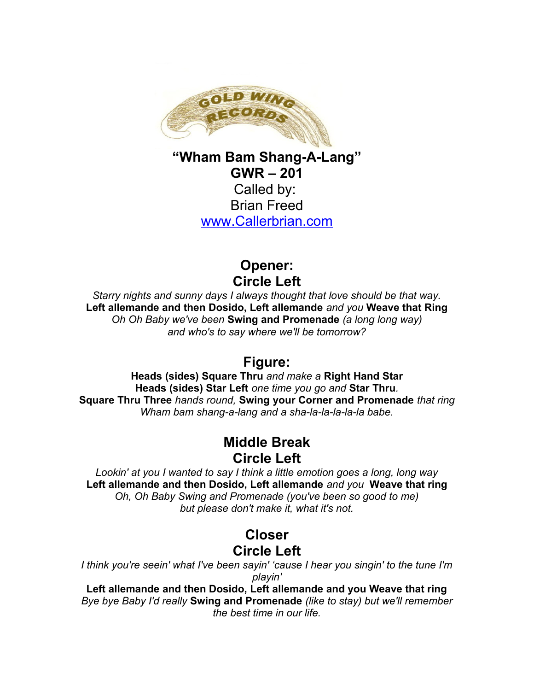

**"Wham Bam Shang-A-Lang" GWR – 201** Called by: Brian Freed [www.Callerbrian.com](http://www.Callerbrian.com/)

> **Opener: Circle Left**

*Starry nights and sunny days I always thought that love should be that way.* **Left allemande and then Dosido, Left allemande** *and you* **Weave that Ring** *Oh Oh Baby we've been* **Swing and Promenade** *(a long long way) and who's to say where we'll be tomorrow?*

## **Figure:**

**Heads (sides) Square Thru** *and make a* **Right Hand Star Heads (sides) Star Left** *one time you go and* **Star Thru***.* **Square Thru Three** *hands round,* **Swing your Corner and Promenade** *that ring Wham bam shang-a-lang and a sha-la-la-la-la-la babe.*

## **Middle Break Circle Left**

*Lookin' at you I wanted to say I think a little emotion goes a long, long way* **Left allemande and then Dosido, Left allemande** *and you* **Weave that ring** *Oh, Oh Baby Swing and Promenade (you've been so good to me) but please don't make it, what it's not.*

## **Closer Circle Left**

*I think you're seein' what I've been sayin' 'cause I hear you singin' to the tune I'm playin'*

**Left allemande and then Dosido, Left allemande and you Weave that ring** *Bye bye Baby I'd really* **Swing and Promenade** *(like to stay) but we'll remember the best time in our life.*